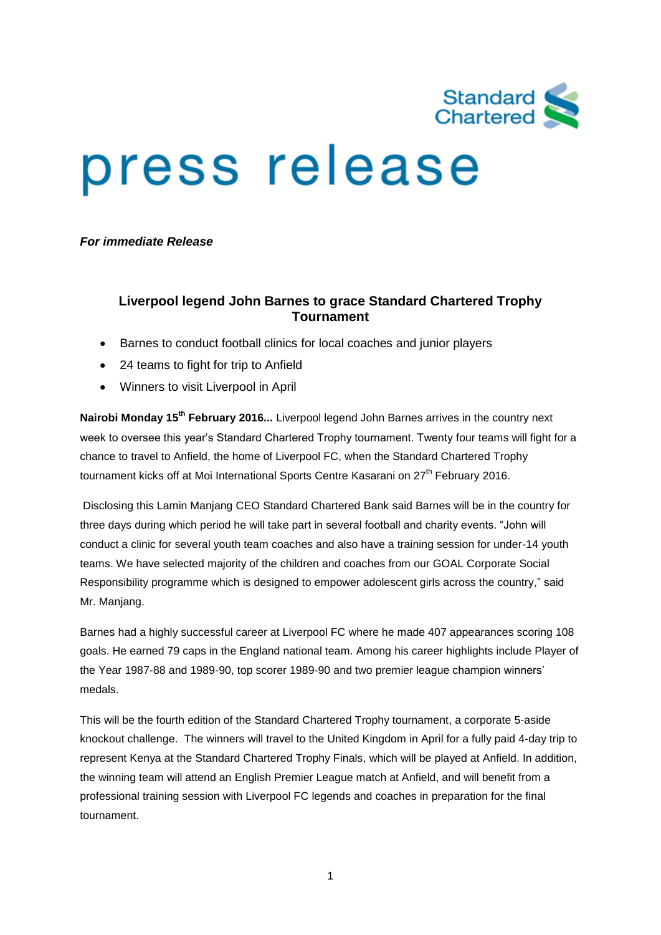

# press release

*For immediate Release*

# **Liverpool legend John Barnes to grace Standard Chartered Trophy Tournament**

- Barnes to conduct football clinics for local coaches and junior players
- 24 teams to fight for trip to Anfield
- Winners to visit Liverpool in April

**Nairobi Monday 15th February 2016...** Liverpool legend John Barnes arrives in the country next week to oversee this year's Standard Chartered Trophy tournament. Twenty four teams will fight for a chance to travel to Anfield, the home of Liverpool FC, when the Standard Chartered Trophy tournament kicks off at Moi International Sports Centre Kasarani on 27<sup>th</sup> February 2016.

Disclosing this Lamin Manjang CEO Standard Chartered Bank said Barnes will be in the country for three days during which period he will take part in several football and charity events. "John will conduct a clinic for several youth team coaches and also have a training session for under-14 youth teams. We have selected majority of the children and coaches from our GOAL Corporate Social Responsibility programme which is designed to empower adolescent girls across the country," said Mr. Manjang.

Barnes had a highly successful career at Liverpool FC where he made 407 appearances scoring 108 goals. He earned 79 caps in the England national team. Among his career highlights include Player of the Year 1987-88 and 1989-90, top scorer 1989-90 and two premier league champion winners' medals.

This will be the fourth edition of the Standard Chartered Trophy tournament, a corporate 5-aside knockout challenge. The winners will travel to the United Kingdom in April for a fully paid 4-day trip to represent Kenya at the Standard Chartered Trophy Finals, which will be played at Anfield. In addition, the winning team will attend an English Premier League match at Anfield, and will benefit from a professional training session with Liverpool FC legends and coaches in preparation for the final tournament.